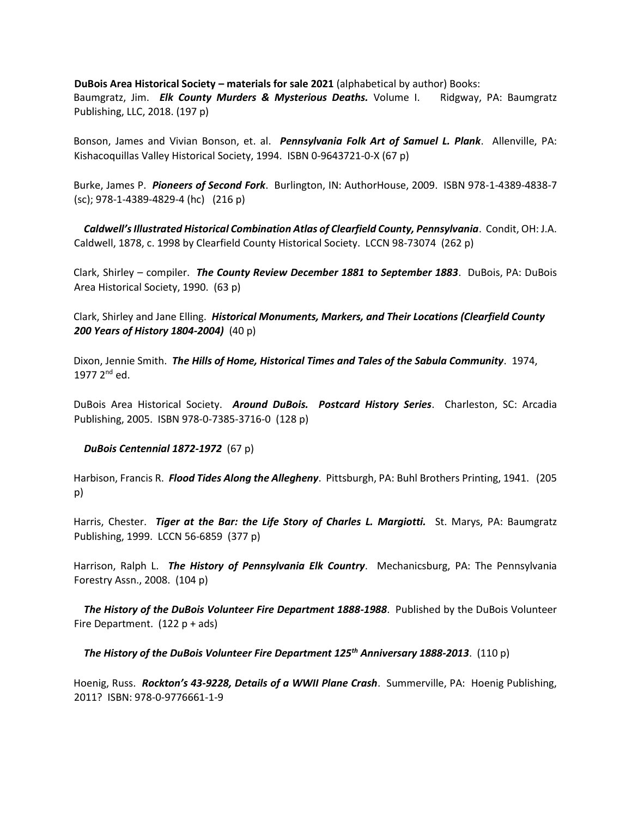**DuBois Area Historical Society – materials for sale 2021** (alphabetical by author) Books: Baumgratz, Jim. *Elk County Murders & Mysterious Deaths.* Volume I. Ridgway, PA: Baumgratz Publishing, LLC, 2018. (197 p)

Bonson, James and Vivian Bonson, et. al. *Pennsylvania Folk Art of Samuel L. Plank*. Allenville, PA: Kishacoquillas Valley Historical Society, 1994. ISBN 0-9643721-0-X (67 p)

Burke, James P. *Pioneers of Second Fork*. Burlington, IN: AuthorHouse, 2009. ISBN 978-1-4389-4838-7 (sc); 978-1-4389-4829-4 (hc) (216 p)

 *Caldwell's Illustrated Historical Combination Atlas of Clearfield County, Pennsylvania*. Condit, OH: J.A. Caldwell, 1878, c. 1998 by Clearfield County Historical Society. LCCN 98-73074 (262 p)

Clark, Shirley – compiler. *The County Review December 1881 to September 1883*. DuBois, PA: DuBois Area Historical Society, 1990. (63 p)

Clark, Shirley and Jane Elling. *Historical Monuments, Markers, and Their Locations (Clearfield County 200 Years of History 1804-2004)* (40 p)

Dixon, Jennie Smith. *The Hills of Home, Historical Times and Tales of the Sabula Community*. 1974, 1977 2<sup>nd</sup> ed.

DuBois Area Historical Society. *Around DuBois. Postcard History Series*. Charleston, SC: Arcadia Publishing, 2005. ISBN 978-0-7385-3716-0 (128 p)

## *DuBois Centennial 1872-1972* (67 p)

Harbison, Francis R. *Flood Tides Along the Allegheny*. Pittsburgh, PA: Buhl Brothers Printing, 1941. (205 p)

Harris, Chester. *Tiger at the Bar: the Life Story of Charles L. Margiotti.* St. Marys, PA: Baumgratz Publishing, 1999. LCCN 56-6859 (377 p)

Harrison, Ralph L. *The History of Pennsylvania Elk Country*. Mechanicsburg, PA: The Pennsylvania Forestry Assn., 2008. (104 p)

 *The History of the DuBois Volunteer Fire Department 1888-1988*. Published by the DuBois Volunteer Fire Department. (122 p + ads)

*The History of the DuBois Volunteer Fire Department 125th Anniversary 1888-2013*. (110 p)

Hoenig, Russ. *Rockton's 43-9228, Details of a WWII Plane Crash*. Summerville, PA: Hoenig Publishing, 2011? ISBN: 978-0-9776661-1-9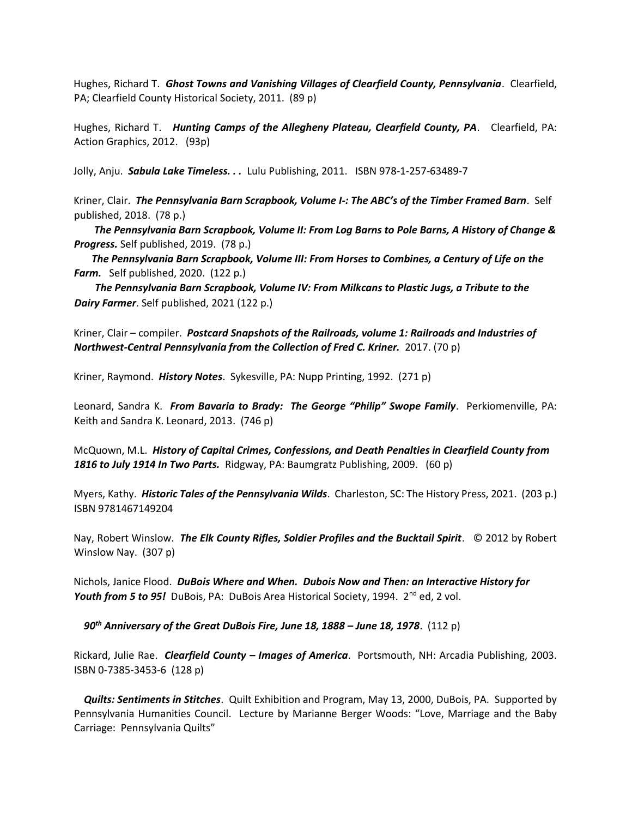Hughes, Richard T. *Ghost Towns and Vanishing Villages of Clearfield County, Pennsylvania*. Clearfield, PA; Clearfield County Historical Society, 2011. (89 p)

Hughes, Richard T. *Hunting Camps of the Allegheny Plateau, Clearfield County, PA*. Clearfield, PA: Action Graphics, 2012. (93p)

Jolly, Anju. *Sabula Lake Timeless. . .* Lulu Publishing, 2011. ISBN 978-1-257-63489-7

Kriner, Clair. *The Pennsylvania Barn Scrapbook, Volume I-: The ABC's of the Timber Framed Barn*. Self published, 2018. (78 p.)

 *The Pennsylvania Barn Scrapbook, Volume II: From Log Barns to Pole Barns, A History of Change & Progress.* Self published, 2019. (78 p.)

 *The Pennsylvania Barn Scrapbook, Volume III: From Horses to Combines, a Century of Life on the Farm.* Self published, 2020. (122 p.)

 *The Pennsylvania Barn Scrapbook, Volume IV: From Milkcans to Plastic Jugs, a Tribute to the Dairy Farmer*. Self published, 2021 (122 p.)

Kriner, Clair – compiler. *Postcard Snapshots of the Railroads, volume 1: Railroads and Industries of Northwest-Central Pennsylvania from the Collection of Fred C. Kriner.* 2017. (70 p)

Kriner, Raymond. *History Notes*. Sykesville, PA: Nupp Printing, 1992. (271 p)

Leonard, Sandra K. *From Bavaria to Brady: The George "Philip" Swope Family*. Perkiomenville, PA: Keith and Sandra K. Leonard, 2013. (746 p)

McQuown, M.L. *History of Capital Crimes, Confessions, and Death Penalties in Clearfield County from 1816 to July 1914 In Two Parts.* Ridgway, PA: Baumgratz Publishing, 2009. (60 p)

Myers, Kathy. *Historic Tales of the Pennsylvania Wilds*. Charleston, SC: The History Press, 2021. (203 p.) ISBN 9781467149204

Nay, Robert Winslow. *The Elk County Rifles, Soldier Profiles and the Bucktail Spirit*. © 2012 by Robert Winslow Nay. (307 p)

Nichols, Janice Flood. *DuBois Where and When. Dubois Now and Then: an Interactive History for Youth from 5 to 95!* DuBois, PA: DuBois Area Historical Society, 1994. 2<sup>nd</sup> ed, 2 vol.

 *90th Anniversary of the Great DuBois Fire, June 18, 1888 – June 18, 1978*. (112 p)

Rickard, Julie Rae. *Clearfield County – Images of America*. Portsmouth, NH: Arcadia Publishing, 2003. ISBN 0-7385-3453-6 (128 p)

 *Quilts: Sentiments in Stitches*. Quilt Exhibition and Program, May 13, 2000, DuBois, PA. Supported by Pennsylvania Humanities Council. Lecture by Marianne Berger Woods: "Love, Marriage and the Baby Carriage: Pennsylvania Quilts"